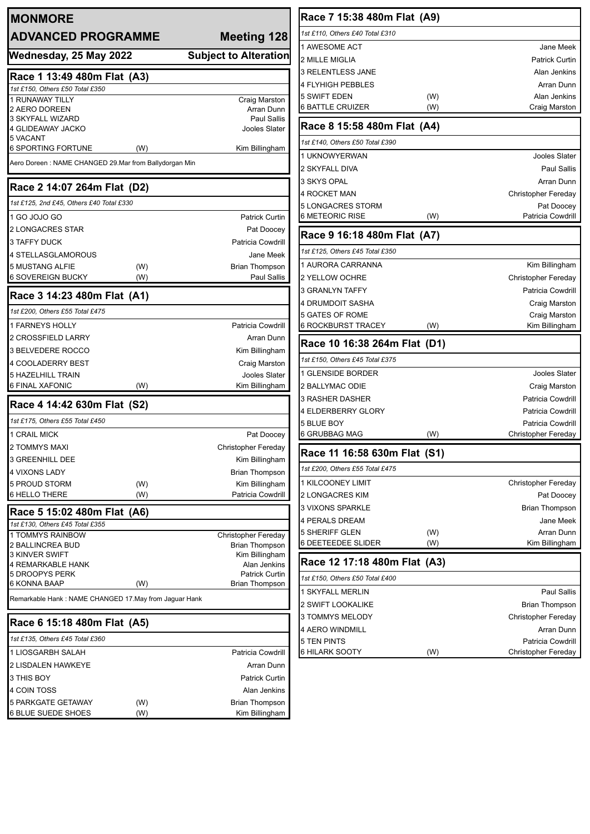| <b>MONMORE</b><br><b>ADVANCED PROGRAMME</b>                |     | <b>Meeting 128</b>                             |  |
|------------------------------------------------------------|-----|------------------------------------------------|--|
| Wednesday, 25 May 2022                                     |     | <b>Subject to Alteration</b>                   |  |
| Race 1 13:49 480m Flat (A3)                                |     |                                                |  |
| 1st £150, Others £50 Total £350                            |     |                                                |  |
| 1 RUNAWAY TILLY                                            |     | Craig Marston                                  |  |
| 2 AERO DOREEN<br>3 SKYFALL WIZARD                          |     | Arran Dunn<br>Paul Sallis                      |  |
| 4 GLIDEAWAY JACKO                                          |     | Jooles Slater                                  |  |
| 5 VACANT<br>6 SPORTING FORTUNE                             | (W) | Kim Billingham                                 |  |
| Aero Doreen: NAME CHANGED 29.Mar from Ballydorgan Min      |     |                                                |  |
| Race 2 14:07 264m Flat (D2)                                |     |                                                |  |
| 1st £125, 2nd £45, Others £40 Total £330                   |     |                                                |  |
| 1 GO JOJO GO                                               |     | <b>Patrick Curtin</b>                          |  |
| <b>2 LONGACRES STAR</b>                                    |     | Pat Doocey                                     |  |
| <b>3 TAFFY DUCK</b>                                        |     | Patricia Cowdrill                              |  |
| <b>4 STELLASGLAMOROUS</b>                                  |     | Jane Meek                                      |  |
| <b>5 MUSTANG ALFIE</b>                                     | (W) | <b>Brian Thompson</b>                          |  |
| 6 SOVEREIGN BUCKY                                          | (W) | Paul Sallis                                    |  |
| Race 3 14:23 480m Flat (A1)                                |     |                                                |  |
| 1st £200, Others £55 Total £475                            |     |                                                |  |
| <b>1 FARNEYS HOLLY</b>                                     |     | <b>Patricia Cowdrill</b>                       |  |
| <b>2 CROSSFIELD LARRY</b>                                  |     | Arran Dunn                                     |  |
| 3 BELVEDERE ROCCO                                          |     | Kim Billingham                                 |  |
| <b>4 COOLADERRY BEST</b>                                   |     | Craig Marston                                  |  |
| <b>5 HAZELHILL TRAIN</b>                                   |     | Jooles Slater                                  |  |
| 6 FINAL XAFONIC                                            | (W) | Kim Billingham                                 |  |
| Race 4 14:42 630m Flat (S2)                                |     |                                                |  |
| 1st £175, Others £55 Total £450                            |     |                                                |  |
| 1 CRAIL MICK                                               |     | Pat Doocey                                     |  |
| 2 TOMMYS MAXI                                              |     | Christopher Fereday                            |  |
| <b>3 GREENHILL DEE</b>                                     |     | Kim Billingham                                 |  |
| 4 VIXONS LADY                                              |     | <b>Brian Thompson</b>                          |  |
| 5 PROUD STORM                                              | (W) | Kim Billingham                                 |  |
| 6 HELLO THERE                                              | (W) | Patricia Cowdrill                              |  |
| Race 5 15:02 480m Flat (A6)                                |     |                                                |  |
| 1st £130, Others £45 Total £355<br><b>1 TOMMYS RAINBOW</b> |     | Christopher Fereday                            |  |
| 2 BALLINCREA BUD                                           |     | Brian Thompson                                 |  |
| <b>3 KINVER SWIFT</b>                                      |     | Kim Billingham                                 |  |
| 4 REMARKABLE HANK                                          |     | Alan Jenkins                                   |  |
| <b>5 DROOPYS PERK</b><br>6 KONNA BAAP                      | (W) | <b>Patrick Curtin</b><br><b>Brian Thompson</b> |  |
| Remarkable Hank: NAME CHANGED 17. May from Jaguar Hank     |     |                                                |  |
|                                                            |     |                                                |  |
| Race 6 15:18 480m Flat (A5)                                |     |                                                |  |
| 1st £135, Others £45 Total £360                            |     |                                                |  |
| 1 LIOSGARBH SALAH                                          |     | Patricia Cowdrill                              |  |
| 2 LISDALEN HAWKEYE                                         |     | Arran Dunn                                     |  |
| 3 THIS BOY                                                 |     | <b>Patrick Curtin</b>                          |  |
| 4 COIN TOSS                                                |     | Alan Jenkins                                   |  |
| <b>5 PARKGATE GETAWAY</b>                                  | (W) | Brian Thompson                                 |  |
| <b>6 BLUE SUEDE SHOES</b>                                  | (W) | Kim Billingham                                 |  |

#### **Race 7 15:38 480m Flat (A9)** *1st £110, Others £40 Total £310* 1 AWESOME ACT **A REPORT ASSESS Jane Meek** 2 MILLE MIGLIA **Patrick Curtin** 3 RELENTLESS JANE Alan Jenkins 4 FLYHIGH PEBBLES Arran Dunn 5 SWIFT EDEN (W) (W) Alan Jenkins 6 BATTLE CRUIZER (W) Craig Marston **Race 8 15:58 480m Flat (A4)** *1st £140, Others £50 Total £390* 1 UKNOWYERWAN Jooles Slater 2 SKYFALL DIVA **Paul Sallis** 3 SKYS OPAL **Arran Dunn** 4 ROCKET MAN Christopher Fereday 5 LONGACRES STORM **Pat Doocey** 6 METEORIC RISE (W) The Patricia Cowdrill **Race 9 16:18 480m Flat (A7)** *1st £125, Others £45 Total £350* 1 AURORA CARRANNA **Kim Billingham** 2 YELLOW OCHRE Christopher Fereday 3 GRANLYN TAFFY **Patricia Cowdrill** 4 DRUMDOIT SASHA **Craig Marston** 5 GATES OF ROME Craig Marston 6 ROCKBURST TRACEY (W) **Race 10 16:38 264m Flat (D1)** *1st £150, Others £45 Total £375* 1 GLENSIDE BORDER **Jooles Slater** 2 BALLYMAC ODIE **CRAIG AND THE CRAIG MARSTON** 3 RASHER DASHER **Patricia Cowdrill** 4 ELDERBERRY GLORY **Patricia Cowdrill** 5 BLUE BOY **Patricia Cowdrill** 6 GRUBBAG MAG (W) Christopher Fereday **Race 11 16:58 630m Flat (S1)** *1st £200, Others £55 Total £475* 1 KILCOONEY LIMIT Christopher Fereday 2 LONGACRES KIM **Pat Doocey** 3 VIXONS SPARKLE **BRIAN THOMPSON** 4 PERALS DREAM **Jane Meek** 5 SHERIFF GLEN (W) (W) Arran Dunn 6 DEETEEDEE SLIDER (W) Kim Billingham **Race 12 17:18 480m Flat (A3)**

| 1st £150, Others £50 Total £400 |    |                       |
|---------------------------------|----|-----------------------|
| 1 SKYFALL MERLIN                |    | Paul Sallis           |
| 2 SWIFT LOOKALIKE               |    | <b>Brian Thompson</b> |
| 3 TOMMYS MELODY                 |    | Christopher Fereday   |
| 4 AERO WINDMILL                 |    | Arran Dunn            |
| 5 TEN PINTS                     |    | Patricia Cowdrill     |
| 6 HILARK SOOTY                  | W) | Christopher Fereday   |